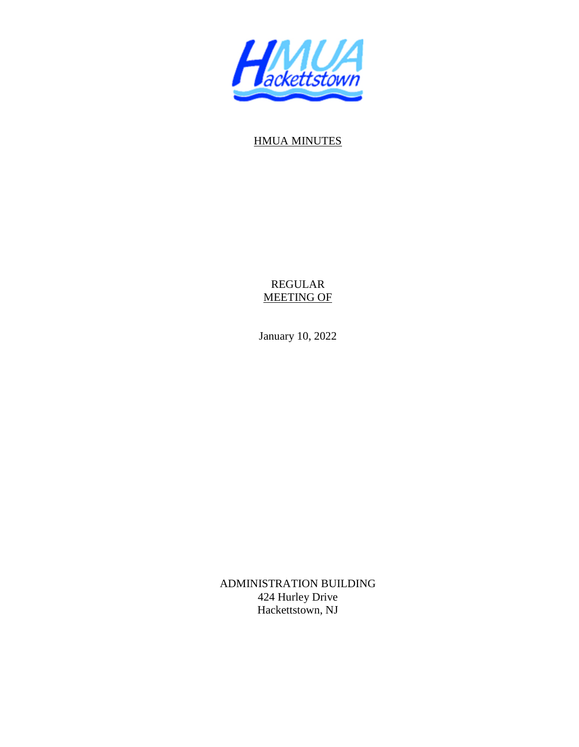

## HMUA MINUTES

REGULAR MEETING OF

January 10, 2022

ADMINISTRATION BUILDING 424 Hurley Drive Hackettstown, NJ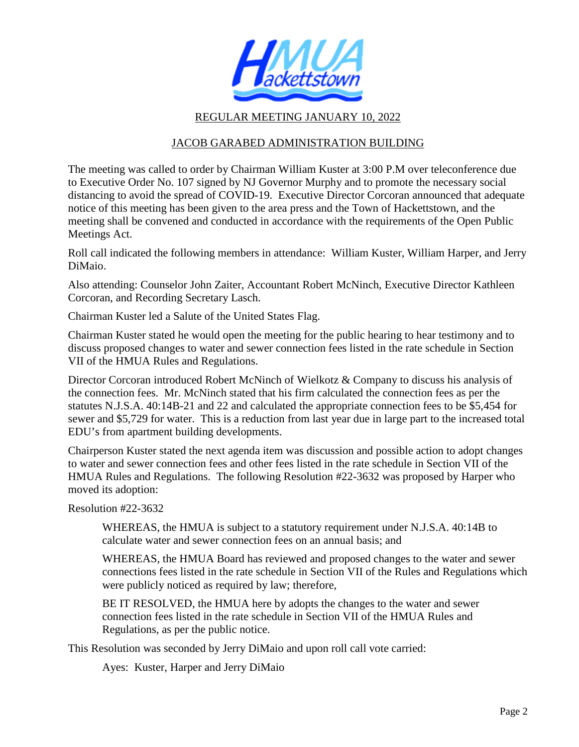

## REGULAR MEETING JANUARY 10, 2022

## JACOB GARABED ADMINISTRATION BUILDING

The meeting was called to order by Chairman William Kuster at 3:00 P.M over teleconference due to Executive Order No. 107 signed by NJ Governor Murphy and to promote the necessary social distancing to avoid the spread of COVID-19. Executive Director Corcoran announced that adequate notice of this meeting has been given to the area press and the Town of Hackettstown, and the meeting shall be convened and conducted in accordance with the requirements of the Open Public Meetings Act.

Roll call indicated the following members in attendance: William Kuster, William Harper, and Jerry DiMaio.

Also attending: Counselor John Zaiter, Accountant Robert McNinch, Executive Director Kathleen Corcoran, and Recording Secretary Lasch.

Chairman Kuster led a Salute of the United States Flag.

Chairman Kuster stated he would open the meeting for the public hearing to hear testimony and to discuss proposed changes to water and sewer connection fees listed in the rate schedule in Section VII of the HMUA Rules and Regulations.

Director Corcoran introduced Robert McNinch of Wielkotz & Company to discuss his analysis of the connection fees. Mr. McNinch stated that his firm calculated the connection fees as per the statutes N.J.S.A. 40:14B-21 and 22 and calculated the appropriate connection fees to be \$5,454 for sewer and \$5,729 for water. This is a reduction from last year due in large part to the increased total EDU's from apartment building developments.

Chairperson Kuster stated the next agenda item was discussion and possible action to adopt changes to water and sewer connection fees and other fees listed in the rate schedule in Section VII of the HMUA Rules and Regulations. The following Resolution #22-3632 was proposed by Harper who moved its adoption:

Resolution #22-3632

 WHEREAS, the HMUA is subject to a statutory requirement under N.J.S.A. 40:14B to calculate water and sewer connection fees on an annual basis; and

 WHEREAS, the HMUA Board has reviewed and proposed changes to the water and sewer connections fees listed in the rate schedule in Section VII of the Rules and Regulations which were publicly noticed as required by law; therefore,

 BE IT RESOLVED, the HMUA here by adopts the changes to the water and sewer connection fees listed in the rate schedule in Section VII of the HMUA Rules and Regulations, as per the public notice.

This Resolution was seconded by Jerry DiMaio and upon roll call vote carried:

Ayes: Kuster, Harper and Jerry DiMaio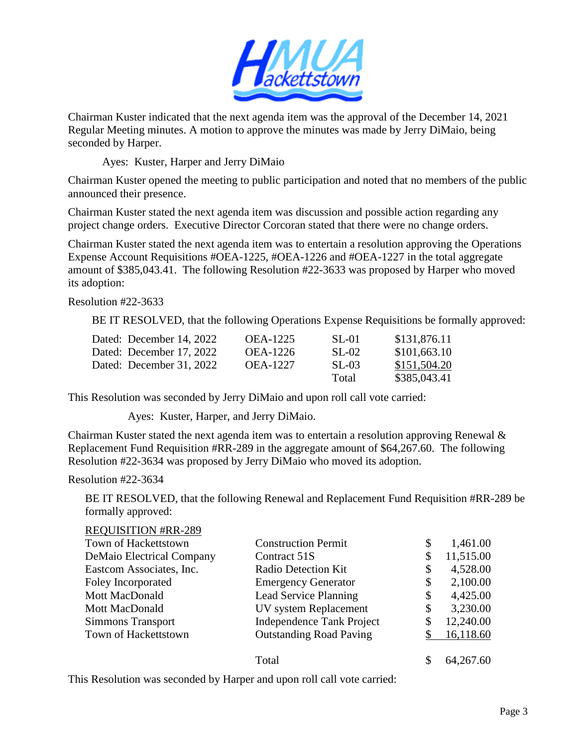

Chairman Kuster indicated that the next agenda item was the approval of the December 14, 2021 Regular Meeting minutes. A motion to approve the minutes was made by Jerry DiMaio, being seconded by Harper.

Ayes: Kuster, Harper and Jerry DiMaio

Chairman Kuster opened the meeting to public participation and noted that no members of the public announced their presence.

Chairman Kuster stated the next agenda item was discussion and possible action regarding any project change orders. Executive Director Corcoran stated that there were no change orders.

Chairman Kuster stated the next agenda item was to entertain a resolution approving the Operations Expense Account Requisitions #OEA-1225, #OEA-1226 and #OEA-1227 in the total aggregate amount of \$385,043.41. The following Resolution #22-3633 was proposed by Harper who moved its adoption:

Resolution #22-3633

BE IT RESOLVED, that the following Operations Expense Requisitions be formally approved:

| Dated: December 14, 2022 | <b>OEA-1225</b> | <b>SL-01</b> | \$131,876.11 |
|--------------------------|-----------------|--------------|--------------|
| Dated: December 17, 2022 | OEA-1226        | SL-02        | \$101,663.10 |
| Dated: December 31, 2022 | <b>OEA-1227</b> | SL-03        | \$151,504.20 |
|                          |                 | Total        | \$385,043.41 |

This Resolution was seconded by Jerry DiMaio and upon roll call vote carried:

Ayes: Kuster, Harper, and Jerry DiMaio.

Chairman Kuster stated the next agenda item was to entertain a resolution approving Renewal  $\&$ Replacement Fund Requisition #RR-289 in the aggregate amount of \$64,267.60. The following Resolution #22-3634 was proposed by Jerry DiMaio who moved its adoption.

## Resolution #22-3634

BE IT RESOLVED, that the following Renewal and Replacement Fund Requisition #RR-289 be formally approved:

| <b>REQUISITION #RR-289</b>       |                                  |                |
|----------------------------------|----------------------------------|----------------|
| Town of Hackettstown             | <b>Construction Permit</b>       | \$<br>1,461.00 |
| <b>DeMaio Electrical Company</b> | Contract 51S                     | 11,515.00      |
| Eastcom Associates, Inc.         | Radio Detection Kit              | \$<br>4,528.00 |
| Foley Incorporated               | <b>Emergency Generator</b>       | \$<br>2,100.00 |
| <b>Mott MacDonald</b>            | Lead Service Planning            | \$<br>4,425.00 |
| <b>Mott MacDonald</b>            | UV system Replacement            | \$<br>3,230.00 |
| <b>Simmons Transport</b>         | <b>Independence Tank Project</b> | 12,240.00      |
| Town of Hackettstown             | <b>Outstanding Road Paving</b>   | 16,118.60      |
|                                  | Total                            | 64, 267. 60    |

This Resolution was seconded by Harper and upon roll call vote carried: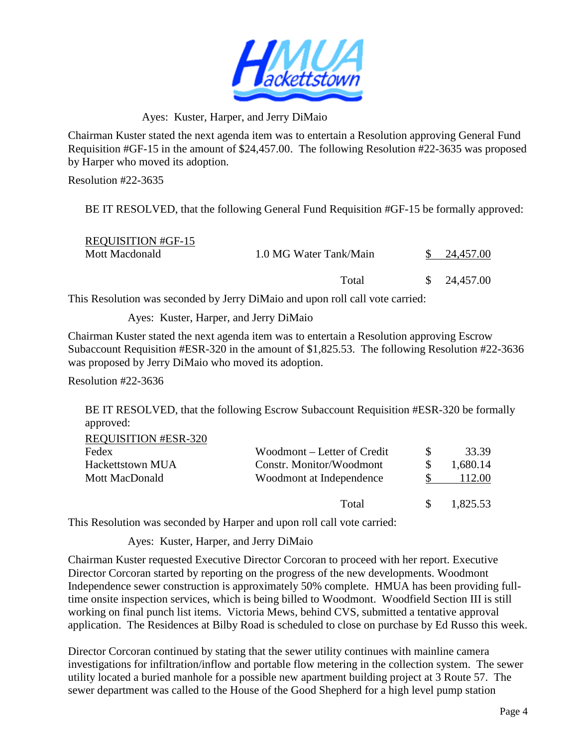

Ayes: Kuster, Harper, and Jerry DiMaio

Chairman Kuster stated the next agenda item was to entertain a Resolution approving General Fund Requisition #GF-15 in the amount of \$24,457.00. The following Resolution #22-3635 was proposed by Harper who moved its adoption.

Resolution #22-3635

BE IT RESOLVED, that the following General Fund Requisition #GF-15 be formally approved:

| <b>REQUISITION #GF-15</b> |                        |                        |
|---------------------------|------------------------|------------------------|
| Mott Macdonald            | 1.0 MG Water Tank/Main | 24.457.00              |
|                           | Total                  | $\frac{\$}{24,457.00}$ |

This Resolution was seconded by Jerry DiMaio and upon roll call vote carried:

Ayes: Kuster, Harper, and Jerry DiMaio

Chairman Kuster stated the next agenda item was to entertain a Resolution approving Escrow Subaccount Requisition #ESR-320 in the amount of \$1,825.53. The following Resolution #22-3636 was proposed by Jerry DiMaio who moved its adoption.

Resolution #22-3636

BE IT RESOLVED, that the following Escrow Subaccount Requisition #ESR-320 be formally approved:  $R$ EQUISITION #ESR-220

| ALUUDITIUN #LON-320     |                             |          |
|-------------------------|-----------------------------|----------|
| Fedex                   | Woodmont – Letter of Credit | 33.39    |
| <b>Hackettstown MUA</b> | Constr. Monitor/Woodmont    | 1,680.14 |
| Mott MacDonald          | Woodmont at Independence    | 112.00   |
|                         | Total                       | 1.825.53 |

This Resolution was seconded by Harper and upon roll call vote carried:

Ayes: Kuster, Harper, and Jerry DiMaio

Chairman Kuster requested Executive Director Corcoran to proceed with her report. Executive Director Corcoran started by reporting on the progress of the new developments. Woodmont Independence sewer construction is approximately 50% complete. HMUA has been providing fulltime onsite inspection services, which is being billed to Woodmont. Woodfield Section III is still working on final punch list items. Victoria Mews, behind CVS, submitted a tentative approval application. The Residences at Bilby Road is scheduled to close on purchase by Ed Russo this week.

Director Corcoran continued by stating that the sewer utility continues with mainline camera investigations for infiltration/inflow and portable flow metering in the collection system. The sewer utility located a buried manhole for a possible new apartment building project at 3 Route 57. The sewer department was called to the House of the Good Shepherd for a high level pump station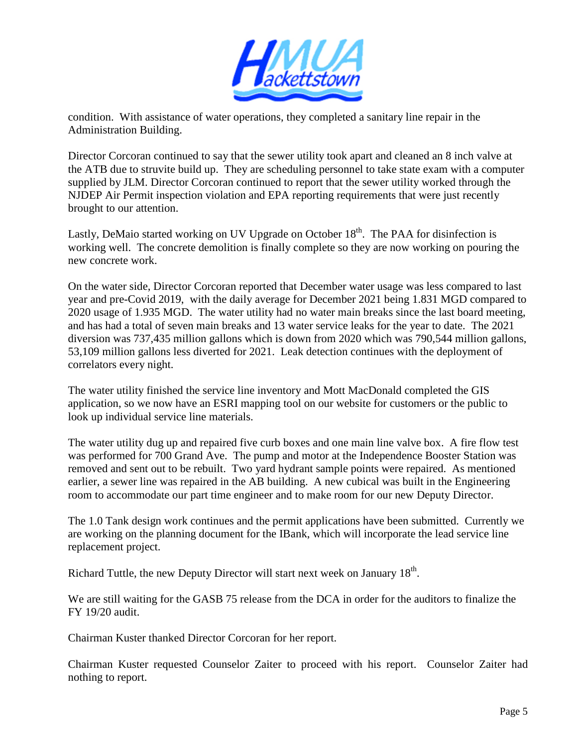

condition. With assistance of water operations, they completed a sanitary line repair in the Administration Building.

Director Corcoran continued to say that the sewer utility took apart and cleaned an 8 inch valve at the ATB due to struvite build up. They are scheduling personnel to take state exam with a computer supplied by JLM. Director Corcoran continued to report that the sewer utility worked through the NJDEP Air Permit inspection violation and EPA reporting requirements that were just recently brought to our attention.

Lastly, DeMaio started working on UV Upgrade on October  $18<sup>th</sup>$ . The PAA for disinfection is working well. The concrete demolition is finally complete so they are now working on pouring the new concrete work.

On the water side, Director Corcoran reported that December water usage was less compared to last year and pre-Covid 2019, with the daily average for December 2021 being 1.831 MGD compared to 2020 usage of 1.935 MGD. The water utility had no water main breaks since the last board meeting, and has had a total of seven main breaks and 13 water service leaks for the year to date. The 2021 diversion was 737,435 million gallons which is down from 2020 which was 790,544 million gallons, 53,109 million gallons less diverted for 2021. Leak detection continues with the deployment of correlators every night.

The water utility finished the service line inventory and Mott MacDonald completed the GIS application, so we now have an ESRI mapping tool on our website for customers or the public to look up individual service line materials.

The water utility dug up and repaired five curb boxes and one main line valve box. A fire flow test was performed for 700 Grand Ave. The pump and motor at the Independence Booster Station was removed and sent out to be rebuilt. Two yard hydrant sample points were repaired. As mentioned earlier, a sewer line was repaired in the AB building. A new cubical was built in the Engineering room to accommodate our part time engineer and to make room for our new Deputy Director.

The 1.0 Tank design work continues and the permit applications have been submitted. Currently we are working on the planning document for the IBank, which will incorporate the lead service line replacement project.

Richard Tuttle, the new Deputy Director will start next week on January  $18<sup>th</sup>$ .

We are still waiting for the GASB 75 release from the DCA in order for the auditors to finalize the FY 19/20 audit.

Chairman Kuster thanked Director Corcoran for her report.

Chairman Kuster requested Counselor Zaiter to proceed with his report. Counselor Zaiter had nothing to report.